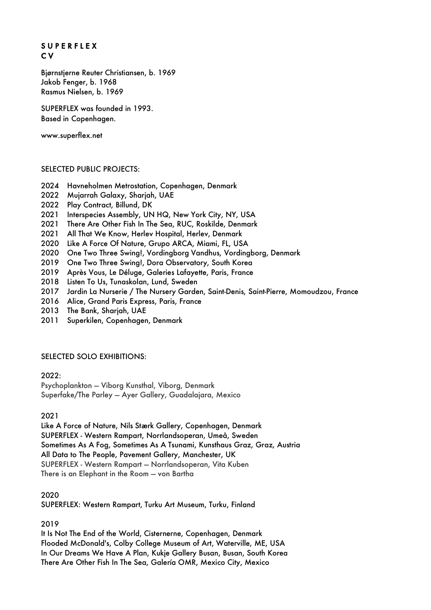# S U P E R F L E X C V

Bjørnstjerne Reuter Christiansen, b. 1969 Jakob Fenger, b. 1968 Rasmus Nielsen, b. 1969

SUPERFLEX was founded in 1993. Based in Copenhagen.

www.superflex.net

#### SELECTED PUBLIC PROJECTS:

- 2024 Havneholmen Metrostation, Copenhagen, Denmark
- 2022 Mujarrah Galaxy, Sharjah, UAE
- 2022 Play Contract, Billund, DK
- 2021 Interspecies Assembly, UN HQ, New York City, NY, USA
- 2021 There Are Other Fish In The Sea, RUC, Roskilde, Denmark
- 2021 All That We Know, Herlev Hospital, Herlev, Denmark
- 2020 Like A Force Of Nature, Grupo ARCA, Miami, FL, USA
- 2020 One Two Three Swing!, Vordingborg Vandhus, Vordingborg, Denmark
- 2019 One Two Three Swing!, Dora Observatory, South Korea
- 2019 Après Vous, Le Déluge, Galeries Lafayette, Paris, France
- 2018 Listen To Us, Tunaskolan, Lund, Sweden
- 2017 Jardin La Nurserie / The Nursery Garden, Saint-Denis, Saint-Pierre, Momoudzou, France
- 2016 Alice, Grand Paris Express, Paris, France
- 2013 The Bank, Sharjah, UAE
- 2011 Superkilen, Copenhagen, Denmark

#### SELECTED SOLO EXHIBITIONS:

#### 2022:

Psychoplankton — Viborg Kunsthal, Viborg, Denmark Superfake/The Parley — Ayer Gallery, Guadalajara, Mexico

#### 2021

Like A Force of Nature, Nils Stærk Gallery, Copenhagen, Denmark SUPERFLEX - Western Rampart, Norrlandsoperan, Umeå, Sweden Sometimes As A Fog, Sometimes As A Tsunami, Kunsthaus Graz, Graz, Austria All Data to The People, Pavement Gallery, Manchester, UK SUPERFLEX - Western Rampart — Norrlandsoperan, Vita Kuben There is an Elephant in the Room — von Bartha

2020

SUPERFLEX: Western Rampart, Turku Art Museum, Turku, Finland

2019

It Is Not The End of the World, Cisternerne, Copenhagen, Denmark Flooded McDonald's, Colby College Museum of Art, Waterville, ME, USA In Our Dreams We Have A Plan, Kukje Gallery Busan, Busan, South Korea There Are Other Fish In The Sea, Galería OMR, Mexico City, Mexico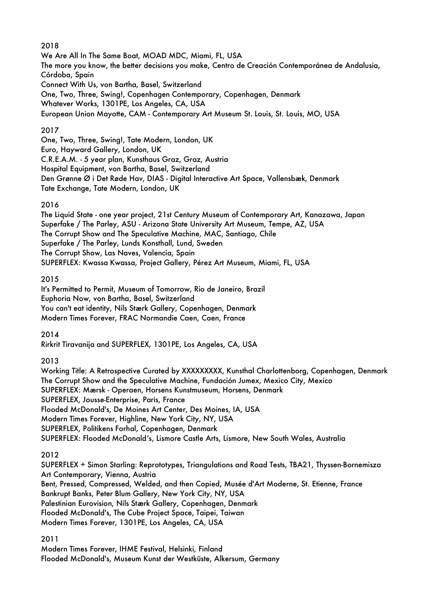## 2018

We Are All In The Same Boat, MOAD MDC, Miami, FL, USA The more you know, the better decisions you make, Centro de Creación Contemporánea de Andalusia, Córdoba, Spain Connect With Us, von Bartha, Basel, Switzerland One, Two, Three, Swing!, Copenhagen Contemporary, Copenhagen, Denmark Whatever Works, 1301PE, Los Angeles, CA, USA European Union Mayotte, CAM - Contemporary Art Museum St. Louis, St. Louis, MO, USA

## 2017

One, Two, Three, Swing!, Tate Modern, London, UK Euro, Hayward Gallery, London, UK C.R.E.A.M. - 5 year plan, Kunsthaus Graz, Graz, Austria Hospital Equipment, von Bartha, Basel, Switzerland Den Grønne Ø i Det Røde Hav, DIAS - Digital Interactive Art Space, Vallensbæk, Denmark Tate Exchange, Tate Modern, London, UK

## 2016

The Liquid State - one year project, 21st Century Museum of Contemporary Art, Kanazawa, Japan Superfake / The Parley, ASU - Arizona State University Art Museum, Tempe, AZ, USA The Corrupt Show and The Speculative Machine, MAC, Santiago, Chile Superfake / The Parley, Lunds Konsthall, Lund, Sweden The Corrupt Show, Las Naves, Valencia, Spain SUPERFLEX: Kwassa Kwassa, Project Gallery, Pérez Art Museum, Miami, FL, USA

## 2015

It's Permitted to Permit, Museum of Tomorrow, Rio de Janeiro, Brazil Euphoria Now, von Bartha, Basel, Switzerland You can't eat identity, Nils Stærk Gallery, Copenhagen, Denmark Modern Times Forever, FRAC Normandie Caen, Caen, France

2014

Rirkrit Tiravanija and SUPERFLEX, 1301PE, Los Angeles, CA, USA

2013

Working Title: A Retrospective Curated by XXXXXXXXX, Kunsthal Charlottenborg, Copenhagen, Denmark The Corrupt Show and the Speculative Machine, Fundación Jumex, Mexico City, Mexico SUPERFLEX: Mærsk - Operaen, Horsens Kunstmuseum, Horsens, Denmark SUPERFLEX, Jousse-Enterprise, Paris, France Flooded McDonald's, De Moines Art Center, Des Moines, IA, USA Modern Times Forever, Highline, New York City, NY, USA SUPERFLEX, Politikens Forhal, Copenhagen, Denmark SUPERFLEX: Flooded McDonald's, Lismore Castle Arts, Lismore, New South Wales, Australia

### 2012

SUPERFLEX + Simon Starling: Reprototypes, Triangulations and Road Tests, TBA21, Thyssen-Bornemisza Art Contemporary, Vienna, Austria Bent, Pressed, Compressed, Welded, and then Copied, Musée d'Art Moderne, St. Etienne, France Bankrupt Banks, Peter Blum Gallery, New York City, NY, USA Palestinian Eurovision, Nils Stærk Gallery, Copenhagen, Denmark Flooded McDonald's, The Cube Project Space, Taipei, Taiwan Modern Times Forever, 1301PE, Los Angeles, CA, USA

### 2011

Modern Times Forever, IHME Festival, Helsinki, Finland Flooded McDonald's, Museum Kunst der Westküste, Alkersum, Germany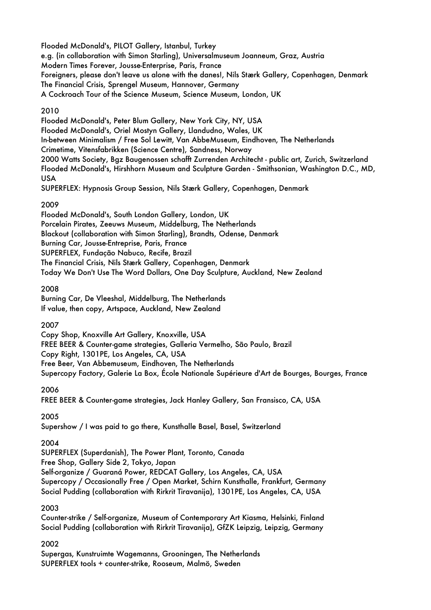Flooded McDonald's, PILOT Gallery, Istanbul, Turkey e.g. (in collaboration with Simon Starling), Universalmuseum Joanneum, Graz, Austria Modern Times Forever, Jousse-Enterprise, Paris, France Foreigners, please don't leave us alone with the danes!, Nils Stærk Gallery, Copenhagen, Denmark The Financial Crisis, Sprengel Museum, Hannover, Germany A Cockroach Tour of the Science Museum, Science Museum, London, UK

# 2010

Flooded McDonald's, Peter Blum Gallery, New York City, NY, USA Flooded McDonald's, Oriel Mostyn Gallery, Llandudno, Wales, UK In-between Minimalism / Free Sol Lewitt, Van AbbeMuseum, Eindhoven, The Netherlands Crimetime, Vitensfabrikken (Science Centre), Sandness, Norway 2000 Watts Society, Bgz Baugenossen schafft Zurrenden Architecht - public art, Zurich, Switzerland Flooded McDonald's, Hirshhorn Museum and Sculpture Garden - Smithsonian, Washington D.C., MD, USA SUPERFLEX: Hypnosis Group Session, Nils Stærk Gallery, Copenhagen, Denmark

# 2009

Flooded McDonald's, South London Gallery, London, UK Porcelain Pirates, Zeeuws Museum, Middelburg, The Netherlands Blackout (collaboration with Simon Starling), Brandts, Odense, Denmark Burning Car, Jousse-Entreprise, Paris, France SUPERFLEX, Fundação Nabuco, Recife, Brazil The Financial Crisis, Nils Stærk Gallery, Copenhagen, Denmark Today We Don't Use The Word Dollars, One Day Sculpture, Auckland, New Zealand

# 2008

Burning Car, De Vleeshal, Middelburg, The Netherlands If value, then copy, Artspace, Auckland, New Zealand

# 2007

Copy Shop, Knoxville Art Gallery, Knoxville, USA FREE BEER & Counter-game strategies, Galleria Vermelho, São Paulo, Brazil Copy Right, 1301PE, Los Angeles, CA, USA Free Beer, Van Abbemuseum, Eindhoven, The Netherlands Supercopy Factory, Galerie La Box, École Nationale Supérieure d'Art de Bourges, Bourges, France

# 2006

FREE BEER & Counter-game strategies, Jack Hanley Gallery, San Fransisco, CA, USA

2005

Supershow / I was paid to go there, Kunsthalle Basel, Basel, Switzerland

# 2004

SUPERFLEX (Superdanish), The Power Plant, Toronto, Canada

Free Shop, Gallery Side 2, Tokyo, Japan

Self-organize / Guaraná Power, REDCAT Gallery, Los Angeles, CA, USA Supercopy / Occasionally Free / Open Market, Schirn Kunsthalle, Frankfurt, Germany Social Pudding (collaboration with Rirkrit Tiravanija), 1301PE, Los Angeles, CA, USA

# 2003

Counter-strike / Self-organize, Museum of Contemporary Art Kiasma, Helsinki, Finland Social Pudding (collaboration with Rirkrit Tiravanija), GfZK Leipzig, Leipzig, Germany

# 2002

Supergas, Kunstruimte Wagemanns, Grooningen, The Netherlands SUPERFLEX tools + counter-strike, Rooseum, Malmö, Sweden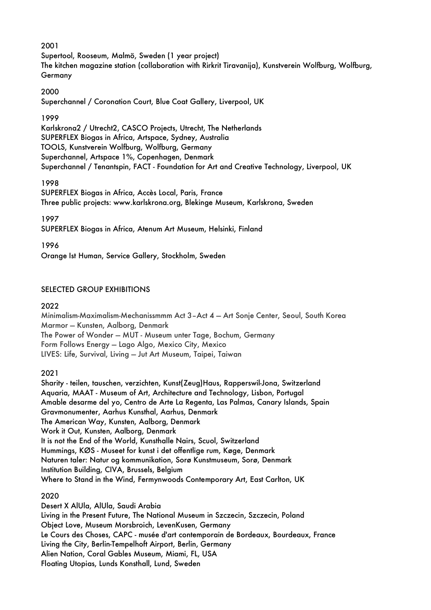## 2001

Supertool, Rooseum, Malmö, Sweden (1 year project) The kitchen magazine station (collaboration with Rirkrit Tiravanija), Kunstverein Wolfburg, Wolfburg, **Germany** 

### 2000

Superchannel / Coronation Court, Blue Coat Gallery, Liverpool, UK

#### 1999

Karlskrona2 / Utrecht2, CASCO Projects, Utrecht, The Netherlands SUPERFLEX Biogas in Africa, Artspace, Sydney, Australia TOOLS, Kunstverein Wolfburg, Wolfburg, Germany Superchannel, Artspace 1%, Copenhagen, Denmark Superchannel / Tenantspin, FACT - Foundation for Art and Creative Technology, Liverpool, UK

### 1998

SUPERFLEX Biogas in Africa, Accès Local, Paris, France Three public projects: www.karlskrona.org, Blekinge Museum, Karlskrona, Sweden

## 1997

SUPERFLEX Biogas in Africa, Atenum Art Museum, Helsinki, Finland

1996

Orange Ist Human, Service Gallery, Stockholm, Sweden

# SELECTED GROUP EXHIBITIONS

## 2022

Minimalism-Maximalism-Mechanissmmm Act 3–Act 4 — Art Sonje Center, Seoul, South Korea Marmor — Kunsten, Aalborg, Denmark The Power of Wonder — MUT - Museum unter Tage, Bochum, Germany Form Follows Energy — Lago Algo, Mexico City, Mexico LIVES: Life, Survival, Living — Jut Art Museum, Taipei, Taiwan

2021

Sharity - teilen, tauschen, verzichten, Kunst(Zeug)Haus, Rapperswil-Jona, Switzerland Aquaria, MAAT - Museum of Art, Architecture and Technology, Lisbon, Portugal Amable desarme del yo, Centro de Arte La Regenta, Las Palmas, Canary Islands, Spain Gravmonumenter, Aarhus Kunsthal, Aarhus, Denmark The American Way, Kunsten, Aalborg, Denmark Work it Out, Kunsten, Aalborg, Denmark It is not the End of the World, Kunsthalle Nairs, Scuol, Switzerland Hummings, KØS - Museet for kunst i det offentlige rum, Køge, Denmark Naturen taler: Natur og kommunikation, Sorø Kunstmuseum, Sorø, Denmark Institution Building, CIVA, Brussels, Belgium Where to Stand in the Wind, Fermynwoods Contemporary Art, East Carlton, UK

# 2020

Desert X AlUla, AlUla, Saudi Arabia Living in the Present Future, The National Museum in Szczecin, Szczecin, Poland Object Love, Museum Morsbroich, LevenKusen, Germany Le Cours des Choses, CAPC - musée d'art contemporain de Bordeaux, Bourdeaux, France Living the City, Berlin-Tempelhoft Airport, Berlin, Germany Alien Nation, Coral Gables Museum, Miami, FL, USA Floating Utopias, Lunds Konsthall, Lund, Sweden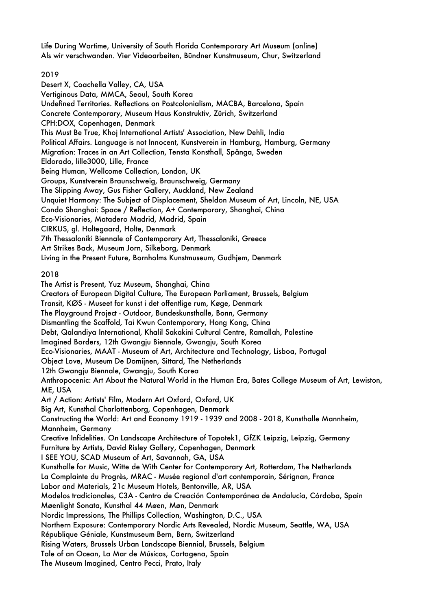Life During Wartime, University of South Florida Contemporary Art Museum (online) Als wir verschwanden. Vier Videoarbeiten, Bündner Kunstmuseum, Chur, Switzerland

## 2019

Desert X, Coachella Valley, CA, USA Vertiginous Data, MMCA, Seoul, South Korea Undefined Territories. Reflections on Postcolonialism, MACBA, Barcelona, Spain Concrete Contemporary, Museum Haus Konstruktiv, Zürich, Switzerland CPH:DOX, Copenhagen, Denmark This Must Be True, Khoj International Artists' Association, New Dehli, India Political Affairs. Language is not Innocent, Kunstverein in Hamburg, Hamburg, Germany Migration: Traces in an Art Collection, Tensta Konsthall, Spånga, Sweden Eldorado, lille3000, Lille, France Being Human, Wellcome Collection, London, UK Groups, Kunstverein Braunschweig, Braunschweig, Germany The Slipping Away, Gus Fisher Gallery, Auckland, New Zealand Unquiet Harmony: The Subject of Displacement, Sheldon Museum of Art, Lincoln, NE, USA Condo Shanghai: Space / Reflection, A+ Contemporary, Shanghai, China Eco-Visionaries, Matadero Madrid, Madrid, Spain CIRKUS, gl. Holtegaard, Holte, Denmark 7th Thessaloniki Biennale of Contemporary Art, Thessaloniki, Greece Art Strikes Back, Museum Jorn, Silkeborg, Denmark Living in the Present Future, Bornholms Kunstmuseum, Gudhjem, Denmark

## 2018

The Artist is Present, Yuz Museum, Shanghai, China Creators of European Digital Culture, The European Parliament, Brussels, Belgium Transit, KØS - Museet for kunst i det offentlige rum, Køge, Denmark The Playground Project - Outdoor, Bundeskunsthalle, Bonn, Germany Dismantling the Scaffold, Tai Kwun Contemporary, Hong Kong, China Debt, Qalandiya International, Khalil Sakakini Cultural Centre, Ramallah, Palestine Imagined Borders, 12th Gwangju Biennale, Gwangju, South Korea Eco-Visionaries, MAAT - Museum of Art, Architecture and Technology, Lisboa, Portugal Object Love, Museum De Domijnen, Sittard, The Netherlands 12th Gwangju Biennale, Gwangju, South Korea Anthropocenic: Art About the Natural World in the Human Era, Bates College Museum of Art, Lewiston, ME, USA Art / Action: Artists' Film, Modern Art Oxford, Oxford, UK Big Art, Kunsthal Charlottenborg, Copenhagen, Denmark Constructing the World: Art and Economy 1919 - 1939 and 2008 - 2018, Kunsthalle Mannheim, Mannheim, Germany Creative Infidelities. On Landscape Architecture of Topotek1, GfZK Leipzig, Leipzig, Germany Furniture by Artists, David Risley Gallery, Copenhagen, Denmark I SEE YOU, SCAD Museum of Art, Savannah, GA, USA Kunsthalle for Music, Witte de With Center for Contemporary Art, Rotterdam, The Netherlands La Complainte du Progrès, MRAC - Musée regional d'art contemporain, Sérignan, France Labor and Materials, 21c Museum Hotels, Bentonville, AR, USA Modelos tradicionales, C3A - Centro de Creación Contemporánea de Andalucía, Córdoba, Spain Møenlight Sonata, Kunsthal 44 Møen, Møn, Denmark Nordic Impressions, The Phillips Collection, Washington, D.C., USA Northern Exposure: Contemporary Nordic Arts Revealed, Nordic Museum, Seattle, WA, USA République Géniale, Kunstmuseum Bern, Bern, Switzerland Rising Waters, Brussels Urban Landscape Biennial, Brussels, Belgium Tale of an Ocean, La Mar de Músicas, Cartagena, Spain The Museum Imagined, Centro Pecci, Prato, Italy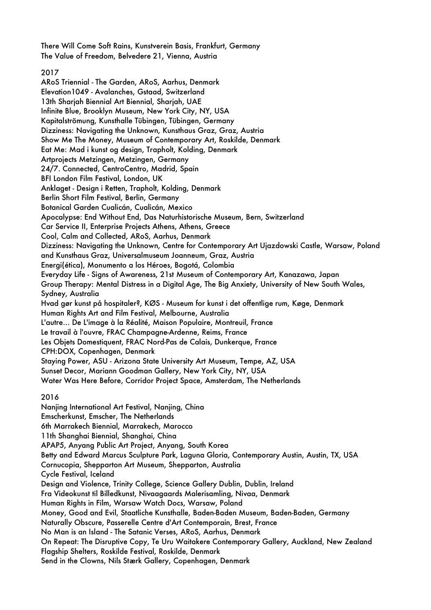There Will Come Soft Rains, Kunstverein Basis, Frankfurt, Germany The Value of Freedom, Belvedere 21, Vienna, Austria

### 2017

ARoS Triennial - The Garden, ARoS, Aarhus, Denmark Elevation1049 - Avalanches, Gstaad, Switzerland 13th Shariah Biennial Art Biennial, Shariah, UAE Infinite Blue, Brooklyn Museum, New York City, NY, USA Kapitalströmung, Kunsthalle Tübingen, Tübingen, Germany Dizziness: Navigating the Unknown, Kunsthaus Graz, Graz, Austria Show Me The Money, Museum of Contemporary Art, Roskilde, Denmark Eat Me: Mad i kunst og design, Trapholt, Kolding, Denmark Artprojects Metzingen, Metzingen, Germany 24/7. Connected, CentroCentro, Madrid, Spain BFI London Film Festival, London, UK Anklaget - Design i Retten, Trapholt, Kolding, Denmark Berlin Short Film Festival, Berlin, Germany Botanical Garden Cualicán, Cualicán, Mexico Apocalypse: End Without End, Das Naturhistorische Museum, Bern, Switzerland Car Service II, Enterprise Projects Athens, Athens, Greece Cool, Calm and Collected, ARoS, Aarhus, Denmark Dizziness: Navigating the Unknown, Centre for Contemporary Art Ujazdowski Castle, Warsaw, Poland and Kunsthaus Graz, Universalmuseum Joanneum, Graz, Austria Energi(ética), Monumento a los Héroes, Bogotá, Colombia Everyday Life - Signs of Awareness, 21st Museum of Contemporary Art, Kanazawa, Japan Group Therapy: Mental Distress in a Digital Age, The Big Anxiety, University of New South Wales, Sydney, Australia Hvad gør kunst på hospitaler?, KØS - Museum for kunst i det offentlige rum, Køge, Denmark Human Rights Art and Film Festival, Melbourne, Australia L'autre… De L'image à la Réalité, Maison Populaire, Montreuil, France Le travail à l'ouvre, FRAC Champagne-Ardenne, Reims, France Les Objets Domestiquent, FRAC Nord-Pas de Calais, Dunkerque, France CPH:DOX, Copenhagen, Denmark Staying Power, ASU - Arizona State University Art Museum, Tempe, AZ, USA Sunset Decor, Mariann Goodman Gallery, New York City, NY, USA Water Was Here Before, Corridor Project Space, Amsterdam, The Netherlands

### 2016

Nanjing International Art Festival, Nanjing, China Emscherkunst, Emscher, The Netherlands 6th Marrakech Biennial, Marrakech, Marocco 11th Shanghai Biennial, Shanghai, China APAP5, Anyang Public Art Project, Anyang, South Korea Betty and Edward Marcus Sculpture Park, Laguna Gloria, Contemporary Austin, Austin, TX, USA Cornucopia, Shepparton Art Museum, Shepparton, Australia Cycle Festival, Iceland Design and Violence, Trinity College, Science Gallery Dublin, Dublin, Ireland Fra Videokunst til Billedkunst, Nivaagaards Malerisamling, Nivaa, Denmark Human Rights in Film, Warsaw Watch Docs, Warsaw, Poland Money, Good and Evil, Staatliche Kunsthalle, Baden-Baden Museum, Baden-Baden, Germany Naturally Obscure, Passerelle Centre d'Art Contemporain, Brest, France No Man is an Island - The Satanic Verses, ARoS, Aarhus, Denmark On Repeat: The Disruptive Copy, Te Uru Waitakere Contemporary Gallery, Auckland, New Zealand Flagship Shelters, Roskilde Festival, Roskilde, Denmark Send in the Clowns, Nils Stærk Gallery, Copenhagen, Denmark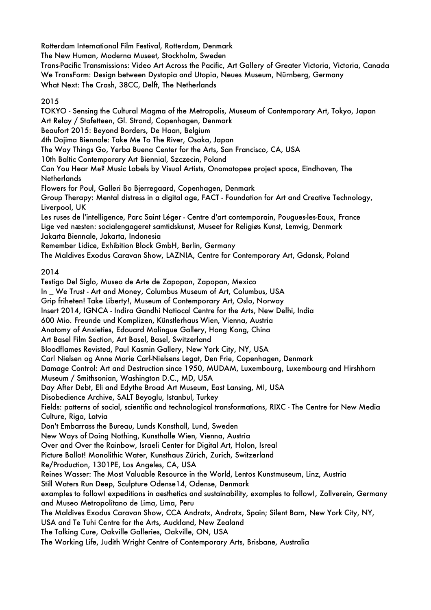Rotterdam International Film Festival, Rotterdam, Denmark

The New Human, Moderna Museet, Stockholm, Sweden

Trans-Pacific Transmissions: Video Art Across the Pacific, Art Gallery of Greater Victoria, Victoria, Canada We TransForm: Design between Dystopia and Utopia, Neues Museum, Nürnberg, Germany What Next: The Crash, 38CC, Delft, The Netherlands

2015

TOKYO - Sensing the Cultural Magma of the Metropolis, Museum of Contemporary Art, Tokyo, Japan Art Relay / Stafetteen, Gl. Strand, Copenhagen, Denmark Beaufort 2015: Beyond Borders, De Haan, Belgium 4th Dojima Biennale: Take Me To The River, Osaka, Japan The Way Things Go, Yerba Buena Center for the Arts, San Francisco, CA, USA 10th Baltic Contemporary Art Biennial, Szczecin, Poland Can You Hear Me? Music Labels by Visual Artists, Onomatopee project space, Eindhoven, The **Netherlands** Flowers for Poul, Galleri Bo Bjerregaard, Copenhagen, Denmark Group Therapy: Mental distress in a digital age, FACT - Foundation for Art and Creative Technology, Liverpool, UK Les ruses de l'intelligence, Parc Saint Léger - Centre d'art contemporain, Pougues-les-Eaux, France Lige ved næsten: socialengageret samtidskunst, Museet for Religiøs Kunst, Lemvig, Denmark Jakarta Biennale, Jakarta, Indonesia Remember Lidice, Exhibition Block GmbH, Berlin, Germany The Maldives Exodus Caravan Show, LAZNIA, Centre for Contemporary Art, Gdansk, Poland 2014 Testigo Del Siglo, Museo de Arte de Zapopan, Zapopan, Mexico In \_ We Trust - Art and Money, Columbus Museum of Art, Columbus, USA Grip friheten! Take Liberty!, Museum of Contemporary Art, Oslo, Norway Insert 2014, IGNCA - Indira Gandhi Natiocal Centre for the Arts, New Delhi, India 600 Mio. Freunde und Komplizen, Künstlerhaus Wien, Vienna, Austria Anatomy of Anxieties, Edouard Malingue Gallery, Hong Kong, China Art Basel Film Section, Art Basel, Basel, Switzerland Bloodflames Revisted, Paul Kasmin Gallery, New York City, NY, USA Carl Nielsen og Anne Marie Carl-Nielsens Legat, Den Frie, Copenhagen, Denmark Damage Control: Art and Destruction since 1950, MUDAM, Luxembourg, Luxembourg and Hirshhorn Museum / Smithsonian, Washington D.C., MD, USA Day After Debt, Eli and Edythe Broad Art Museum, East Lansing, MI, USA Disobedience Archive, SALT Beyoglu, Istanbul, Turkey Fields: patterns of social, scientific and technological transformations, RIXC - The Centre for New Media Culture, Riga, Latvia Don't Embarrass the Bureau, Lunds Konsthall, Lund, Sweden New Ways of Doing Nothing, Kunsthalle Wien, Vienna, Austria Over and Over the Rainbow, Israeli Center for Digital Art, Holon, Isreal Picture Ballot! Monolithic Water, Kunsthaus Zürich, Zurich, Switzerland Re/Production, 1301PE, Los Angeles, CA, USA Reines Wasser: The Most Valuable Resource in the World, Lentos Kunstmuseum, Linz, Austria Still Waters Run Deep, Sculpture Odense14, Odense, Denmark examples to follow! expeditions in aesthetics and sustainability, examples to follow!, Zollverein, Germany and Museo Metropolitano de Lima, Lima, Peru The Maldives Exodus Caravan Show, CCA Andratx, Andratx, Spain; Silent Barn, New York City, NY, USA and Te Tuhi Centre for the Arts, Auckland, New Zealand The Talking Cure, Oakville Galleries, Oakville, ON, USA The Working Life, Judith Wright Centre of Contemporary Arts, Brisbane, Australia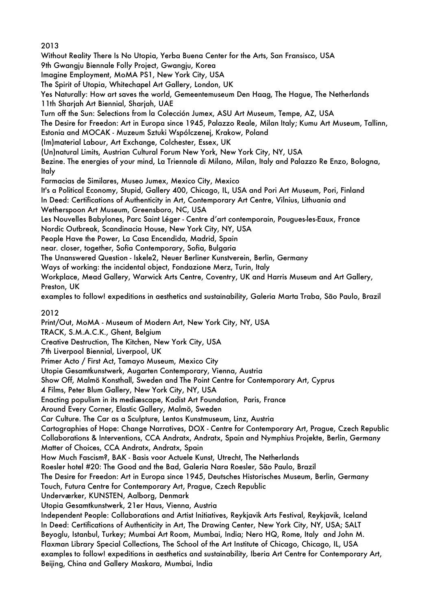2013 Without Reality There Is No Utopia, Yerba Buena Center for the Arts, San Fransisco, USA 9th Gwangju Biennale Folly Project, Gwangju, Korea Imagine Employment, MoMA PS1, New York City, USA The Spirit of Utopia, Whitechapel Art Gallery, London, UK Yes Naturally: How art saves the world, Gemeentemuseum Den Haag, The Hague, The Netherlands 11th Sharjah Art Biennial, Sharjah, UAE Turn off the Sun: Selections from la Colección Jumex, ASU Art Museum, Tempe, AZ, USA The Desire for Freedon: Art in Europa since 1945, Palazzo Reale, Milan Italy; Kumu Art Museum, Tallinn, Estonia and MOCAK - Muzeum Sztuki Wspólczenej, Krakow, Poland (Im)material Labour, Art Exchange, Colchester, Essex, UK (Un)natural Limits, Austrian Cultural Forum New York, New York City, NY, USA Bezine. The energies of your mind, La Triennale di Milano, Milan, Italy and Palazzo Re Enzo, Bologna, Italy Farmacias de Similares, Museo Jumex, Mexico City, Mexico It's a Political Economy, Stupid, Gallery 400, Chicago, IL, USA and Pori Art Museum, Pori, Finland In Deed: Certifications of Authenticity in Art, Contemporary Art Centre, Vilnius, Lithuania and Wetherspoon Art Museum, Greensboro, NC, USA Les Nouvelles Babylones, Parc Saint Léger - Centre d'art contemporain, Pougues-les-Eaux, France Nordic Outbreak, Scandinacia House, New York City, NY, USA People Have the Power, La Casa Encendida, Madrid, Spain near. closer, together, Sofia Contemporary, Sofia, Bulgaria The Unanswered Question - Iskele2, Neuer Berliner Kunstverein, Berlin, Germany Ways of working: the incidental object, Fondazione Merz, Turin, Italy Workplace, Mead Gallery, Warwick Arts Centre, Coventry, UK and Harris Museum and Art Gallery, Preston, UK examples to follow! expeditions in aesthetics and sustainability, Galeria Marta Traba, São Paulo, Brazil 2012 Print/Out, MoMA - Museum of Modern Art, New York City, NY, USA TRACK, S.M.A.C.K., Ghent, Belgium Creative Destruction, The Kitchen, New York City, USA 7th Liverpool Biennial, Liverpool, UK Primer Acto / First Act, Tamayo Museum, Mexico City Utopie Gesamtkunstwerk, Augarten Contemporary, Vienna, Austria Show Off, Malmö Konsthall, Sweden and The Point Centre for Contemporary Art, Cyprus 4 Films, Peter Blum Gallery, New York City, NY, USA Enacting populism in its mediæscape, Kadist Art Foundation, Paris, France Around Every Corner, Elastic Gallery, Malmö, Sweden Car Culture. The Car as a Sculpture, Lentos Kunstmuseum, Linz, Austria Cartographies of Hope: Change Narratives, DOX - Centre for Contemporary Art, Prague, Czech Republic Collaborations & Interventions, CCA Andratx, Andratx, Spain and Nymphius Projekte, Berlin, Germany Matter of Choices, CCA Andratx, Andratx, Spain How Much Fascism?, BAK - Basis voor Actuele Kunst, Utrecht, The Netherlands Roesler hotel #20: The Good and the Bad, Galeria Nara Roesler, São Paulo, Brazil The Desire for Freedon: Art in Europa since 1945, Deutsches Historisches Museum, Berlin, Germany Touch, Futura Centre for Contemporary Art, Prague, Czech Republic Underværker, KUNSTEN, Aalborg, Denmark Utopia Gesamtkunstwerk, 21er Haus, Vienna, Austria Independent People: Collaborations and Artist Initiatives, Reykjavik Arts Festival, Reykjavik, Iceland In Deed: Certifications of Authenticity in Art, The Drawing Center, New York City, NY, USA; SALT Beyoglu, Istanbul, Turkey; Mumbai Art Room, Mumbai, India; Nero HQ, Rome, Italy and John M. Flaxman Library Special Collections, The School of the Art Institute of Chicago, Chicago, IL, USA examples to follow! expeditions in aesthetics and sustainability, Iberia Art Centre for Contemporary Art, Beijing, China and Gallery Maskara, Mumbai, India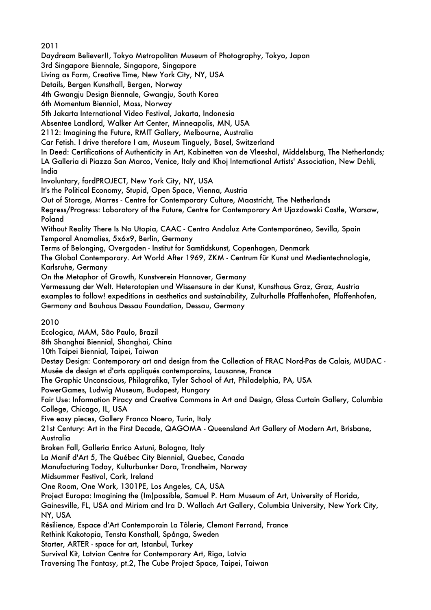2011

Daydream Believer!!, Tokyo Metropolitan Museum of Photography, Tokyo, Japan

3rd Singapore Biennale, Singapore, Singapore

Living as Form, Creative Time, New York City, NY, USA

Details, Bergen Kunsthall, Bergen, Norway

4th Gwangju Design Biennale, Gwangju, South Korea

6th Momentum Biennial, Moss, Norway

5th Jakarta International Video Festival, Jakarta, Indonesia

Absentee Landlord, Walker Art Center, Minneapolis, MN, USA

2112: Imagining the Future, RMIT Gallery, Melbourne, Australia

Car Fetish. I drive therefore I am, Museum Tinguely, Basel, Switzerland

In Deed: Certifications of Authenticity in Art, Kabinetten van de Vleeshal, Middelsburg, The Netherlands; LA Galleria di Piazza San Marco, Venice, Italy and Khoj International Artists' Association, New Dehli, India

Involuntary, fordPROJECT, New York City, NY, USA

It's the Political Economy, Stupid, Open Space, Vienna, Austria

Out of Storage, Marres - Centre for Contemporary Culture, Maastricht, The Netherlands

Regress/Progress: Laboratory of the Future, Centre for Contemporary Art Ujazdowski Castle, Warsaw, Poland

Without Reality There Is No Utopia, CAAC - Centro Andaluz Arte Contemporáneo, Sevilla, Spain Temporal Anomalies, 5x6x9, Berlin, Germany

Terms of Belonging, Overgaden - Institut for Samtidskunst, Copenhagen, Denmark

The Global Contemporary. Art World After 1969, ZKM - Centrum für Kunst und Medientechnologie, Karlsruhe, Germany

On the Metaphor of Growth, Kunstverein Hannover, Germany

Vermessung der Welt. Heterotopien und Wissensure in der Kunst, Kunsthaus Graz, Graz, Austria examples to follow! expeditions in aesthetics and sustainability, Zulturhalle Pfaffenhofen, Pfaffenhofen, Germany and Bauhaus Dessau Foundation, Dessau, Germany

2010

Ecologica, MAM, São Paulo, Brazil

8th Shanghai Biennial, Shanghai, China

10th Taipei Biennial, Taipei, Taiwan

Destøy Design: Contemporary art and design from the Collection of FRAC Nord-Pas de Calais, MUDAC - Musée de design et d'arts appliqués contemporains, Lausanne, France

The Graphic Unconscious, Philagrafika, Tyler School of Art, Philadelphia, PA, USA

PowerGames, Ludwig Museum, Budapest, Hungary

Fair Use: Information Piracy and Creative Commons in Art and Design, Glass Curtain Gallery, Columbia College, Chicago, IL, USA

Five easy pieces, Gallery Franco Noero, Turin, Italy

21st Century: Art in the First Decade, QAGOMA - Queensland Art Gallery of Modern Art, Brisbane, Australia

Broken Fall, Galleria Enrico Astuni, Bologna, Italy

La Manif d'Art 5, The Québec City Biennial, Quebec, Canada

Manufacturing Today, Kulturbunker Dora, Trondheim, Norway

Midsummer Festival, Cork, Ireland

One Room, One Work, 1301PE, Los Angeles, CA, USA

Project Europa: Imagining the (Im)possible, Samuel P. Harn Museum of Art, University of Florida,

Gainesville, FL, USA and Miriam and Ira D. Wallach Art Gallery, Columbia University, New York City, NY, USA

Résilience, Espace d'Art Contemporain La Tôlerie, Clemont Ferrand, France

Rethink Kakotopia, Tensta Konsthall, Spånga, Sweden

Starter, ARTER - space for art, Istanbul, Turkey

Survival Kit, Latvian Centre for Contemporary Art, Riga, Latvia

Traversing The Fantasy, pt.2, The Cube Project Space, Taipei, Taiwan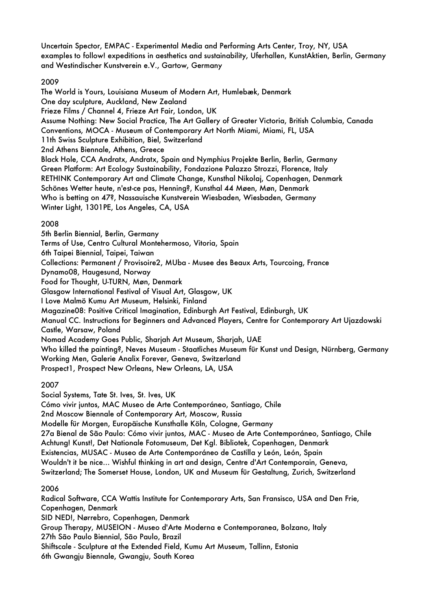Uncertain Spector, EMPAC - Experimental Media and Performing Arts Center, Troy, NY, USA examples to follow! expeditions in aesthetics and sustainability, Uferhallen, KunstAktien, Berlin, Germany and Westindischer Kunstverein e.V., Gartow, Germany

# 2009

The World is Yours, Louisiana Museum of Modern Art, Humlebæk, Denmark One day sculpture, Auckland, New Zealand Frieze Films / Channel 4, Frieze Art Fair, London, UK Assume Nothing: New Social Practice, The Art Gallery of Greater Victoria, British Columbia, Canada Conventions, MOCA - Museum of Contemporary Art North Miami, Miami, FL, USA 11th Swiss Sculpture Exhibition, Biel, Switzerland 2nd Athens Biennale, Athens, Greece Black Hole, CCA Andratx, Andratx, Spain and Nymphius Projekte Berlin, Berlin, Germany Green Platform: Art Ecology Sustainability, Fondazione Palazzo Strozzi, Florence, Italy RETHINK Contemporary Art and Climate Change, Kunsthal Nikolaj, Copenhagen, Denmark Schönes Wetter heute, n'est-ce pas, Henning?, Kunsthal 44 Møen, Møn, Denmark Who is betting on 47?, Nassauische Kunstverein Wiesbaden, Wiesbaden, Germany Winter Light, 1301PE, Los Angeles, CA, USA

# 2008

5th Berlin Biennial, Berlin, Germany Terms of Use, Centro Cultural Montehermoso, Vitoria, Spain 6th Taipei Biennial, Taipei, Taiwan Collections: Permanent / Provisoire2, MUba - Musee des Beaux Arts, Tourcoing, France Dynamo08, Haugesund, Norway Food for Thought, U-TURN, Møn, Denmark Glasgow International Festival of Visual Art, Glasgow, UK I Love Malmö Kumu Art Museum, Helsinki, Finland Magazine08: Positive Critical Imagination, Edinburgh Art Festival, Edinburgh, UK Manual CC. Instructions for Beginners and Advanced Players, Centre for Contemporary Art Ujazdowski Castle, Warsaw, Poland Nomad Academy Goes Public, Sharjah Art Museum, Sharjah, UAE Who killed the painting?, Neves Museum - Staatliches Museum für Kunst und Design, Nürnberg, Germany Working Men, Galerie Analix Forever, Geneva, Switzerland Prospect1, Prospect New Orleans, New Orleans, LA, USA

# 2007

Social Systems, Tate St. Ives, St. Ives, UK Cómo vivir juntos, MAC Museo de Arte Contemporáneo, Santiago, Chile 2nd Moscow Biennale of Contemporary Art, Moscow, Russia Modelle für Morgen, Europäische Kunsthalle Köln, Cologne, Germany 27a Bienal de São Paulo: Cómo vivir juntos, MAC - Museo de Arte Contemporáneo, Santiago, Chile Achtung! Kunst!, Det Nationale Fotomuseum, Det Kgl. Bibliotek, Copenhagen, Denmark Existencias, MUSAC - Museo de Arte Contemporáneo de Castilla y León, León, Spain Wouldn't it be nice… Wishful thinking in art and design, Centre d'Art Contemporain, Geneva, Switzerland; The Somerset House, London, UK and Museum für Gestaltung, Zurich, Switzerland

# 2006

Radical Software, CCA Wattis Institute for Contemporary Arts, San Fransisco, USA and Den Frie, Copenhagen, Denmark SID NED!, Nørrebro, Copenhagen, Denmark Group Therapy, MUSEION - Museo d'Arte Moderna e Contemporanea, Bolzano, Italy 27th São Paulo Biennial, São Paulo, Brazil Shiftscale - Sculpture at the Extended Field, Kumu Art Museum, Tallinn, Estonia 6th Gwangju Biennale, Gwangju, South Korea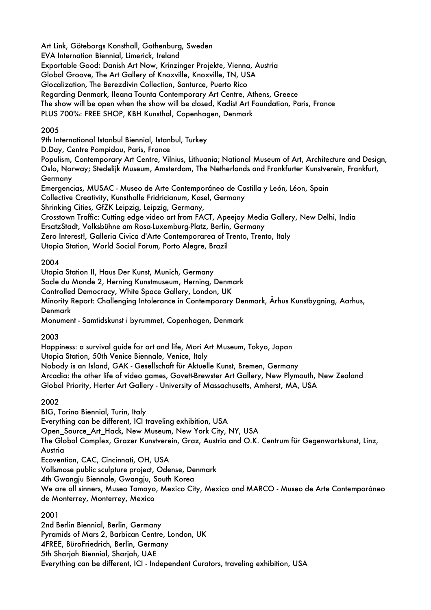Art Link, Göteborgs Konsthall, Gothenburg, Sweden EVA Internation Biennial, Limerick, Ireland Exportable Good: Danish Art Now, Krinzinger Projekte, Vienna, Austria Global Groove, The Art Gallery of Knoxville, Knoxville, TN, USA Glocalization, The Berezdivin Collection, Santurce, Puerto Rico Regarding Denmark, Ileana Tounta Contemporary Art Centre, Athens, Greece The show will be open when the show will be closed, Kadist Art Foundation, Paris, France PLUS 700%: FREE SHOP, KBH Kunsthal, Copenhagen, Denmark

## 2005

9th International Istanbul Biennial, Istanbul, Turkey

D.Day, Centre Pompidou, Paris, France

Populism, Contemporary Art Centre, Vilnius, Lithuania; National Museum of Art, Architecture and Design, Oslo, Norway; Stedelijk Museum, Amsterdam, The Netherlands and Frankfurter Kunstverein, Frankfurt, **Germany** 

Emergencias, MUSAC - Museo de Arte Contemporáneo de Castilla y León, Léon, Spain

Collective Creativity, Kunsthalle Fridricianum, Kasel, Germany

Shrinking Cities, GfZK Leipzig, Leipzig, Germany,

Crosstown Traffic: Cutting edge video art from FACT, Apeejay Media Gallery, New Delhi, India

ErsatzStadt, Volksbühne am Rosa-Luxemburg-Platz, Berlin, Germany

Zero Interest!, Galleria Civica d'Arte Contemporarea of Trento, Trento, Italy

Utopia Station, World Social Forum, Porto Alegre, Brazil

## 2004

Utopia Station II, Haus Der Kunst, Munich, Germany

Socle du Monde 2, Herning Kunstmuseum, Herning, Denmark

Controlled Democracy, White Space Gallery, London, UK

Minority Report: Challenging Intolerance in Contemporary Denmark, Århus Kunstbygning, Aarhus, Denmark

Monument - Samtidskunst i byrummet, Copenhagen, Denmark

# 2003

Happiness: a survival guide for art and life, Mori Art Museum, Tokyo, Japan Utopia Station, 50th Venice Biennale, Venice, Italy Nobody is an Island, GAK - Gesellschaft für Aktuelle Kunst, Bremen, Germany Arcadia: the other life of video games, Govett-Brewster Art Gallery, New Plymouth, New Zealand Global Priority, Herter Art Gallery - University of Massachusetts, Amherst, MA, USA

# 2002

BIG, Torino Biennial, Turin, Italy

Everything can be different, ICI traveling exhibition, USA

Open\_Source\_Art\_Hack, New Museum, New York City, NY, USA

The Global Complex, Grazer Kunstverein, Graz, Austria and O.K. Centrum für Gegenwartskunst, Linz, Austria

Ecovention, CAC, Cincinnati, OH, USA

Vollsmose public sculpture project, Odense, Denmark

4th Gwangju Biennale, Gwangju, South Korea

We are all sinners, Museo Tamayo, Mexico City, Mexico and MARCO - Museo de Arte Contemporáneo de Monterrey, Monterrey, Mexico

# 2001

2nd Berlin Biennial, Berlin, Germany Pyramids of Mars 2, Barbican Centre, London, UK 4FREE, BüroFriedrich, Berlin, Germany 5th Sharjah Biennial, Sharjah, UAE Everything can be different, ICI - Independent Curators, traveling exhibition, USA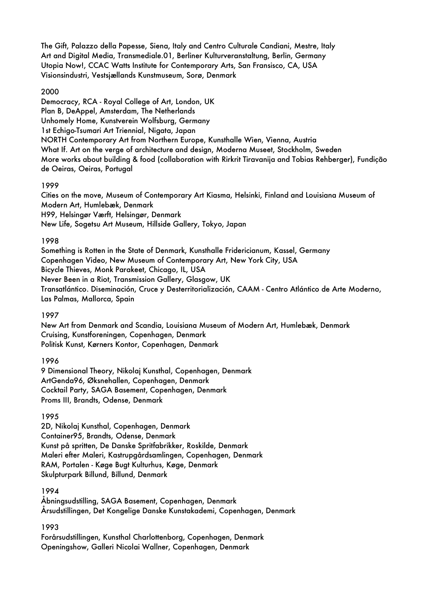The Gift, Palazzo della Papesse, Siena, Italy and Centro Culturale Candiani, Mestre, Italy Art and Digital Media, Transmediale.01, Berliner Kulturveranstaltung, Berlin, Germany Utopia Now!, CCAC Watts Institute for Contemporary Arts, San Fransisco, CA, USA Visionsindustri, Vestsjællands Kunstmuseum, Sorø, Denmark

#### 2000

Democracy, RCA - Royal College of Art, London, UK Plan B, DeAppel, Amsterdam, The Netherlands Unhomely Home, Kunstverein Wolfsburg, Germany 1st Echigo-Tsumari Art Triennial, Nigata, Japan NORTH Contemporary Art from Northern Europe, Kunsthalle Wien, Vienna, Austria What If. Art on the verge of architecture and design, Moderna Museet, Stockholm, Sweden More works about building & food (collaboration with Rirkrit Tiravanija and Tobias Rehberger), Fundição de Oeiras, Oeiras, Portugal

#### 1999

Cities on the move, Museum of Contemporary Art Kiasma, Helsinki, Finland and Louisiana Museum of Modern Art, Humlebæk, Denmark H99, Helsingør Værft, Helsingør, Denmark New Life, Sogetsu Art Museum, Hillside Gallery, Tokyo, Japan

#### 1998

Something is Rotten in the State of Denmark, Kunsthalle Fridericianum, Kassel, Germany Copenhagen Video, New Museum of Contemporary Art, New York City, USA Bicycle Thieves, Monk Parakeet, Chicago, IL, USA Never Been in a Riot, Transmission Gallery, Glasgow, UK Transatlántico. Diseminación, Cruce y Desterritorialización, CAAM - Centro Atlántico de Arte Moderno, Las Palmas, Mallorca, Spain

#### 1997

New Art from Denmark and Scandia, Louisiana Museum of Modern Art, Humlebæk, Denmark Cruising, Kunstforeningen, Copenhagen, Denmark Politisk Kunst, Kørners Kontor, Copenhagen, Denmark

### 1996

9 Dimensional Theory, Nikolaj Kunsthal, Copenhagen, Denmark ArtGenda96, Øksnehallen, Copenhagen, Denmark Cocktail Party, SAGA Basement, Copenhagen, Denmark Proms III, Brandts, Odense, Denmark

#### 1995

2D, Nikolaj Kunsthal, Copenhagen, Denmark Container95, Brandts, Odense, Denmark Kunst på spritten, De Danske Spritfabrikker, Roskilde, Denmark Maleri efter Maleri, Kastrupgårdsamlingen, Copenhagen, Denmark RAM, Portalen - Køge Bugt Kulturhus, Køge, Denmark Skulpturpark Billund, Billund, Denmark

#### 1994

Åbningsudstilling, SAGA Basement, Copenhagen, Denmark Årsudstillingen, Det Kongelige Danske Kunstakademi, Copenhagen, Denmark

### 1993

Forårsudstillingen, Kunsthal Charlottenborg, Copenhagen, Denmark Openingshow, Galleri Nicolai Wallner, Copenhagen, Denmark